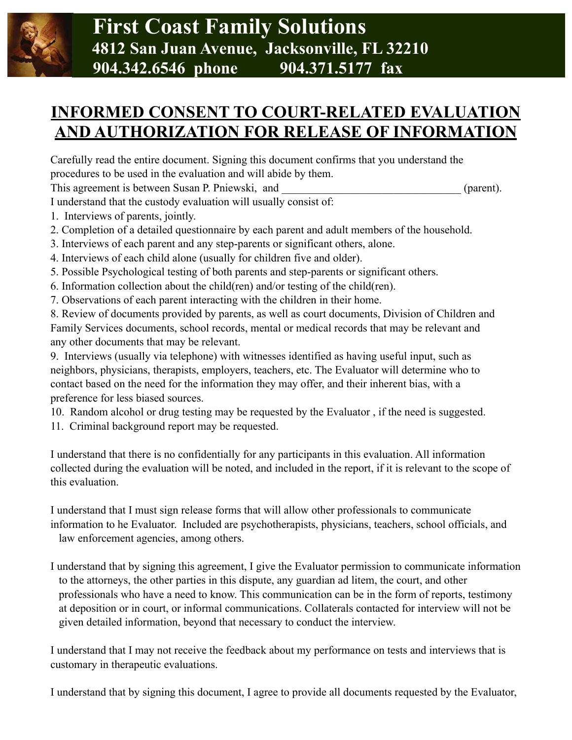

## **INFORMED CONSENT TO COURT-RELATED EVALUATION AND AUTHORIZATION FOR RELEASE OF INFORMATION**

Carefully read the entire document. Signing this document confirms that you understand the procedures to be used in the evaluation and will abide by them.

This agreement is between Susan P. Pniewski, and  $(parent)$ .

I understand that the custody evaluation will usually consist of:

- 1. Interviews of parents, jointly.
- 2. Completion of a detailed questionnaire by each parent and adult members of the household.
- 3. Interviews of each parent and any step-parents or significant others, alone.
- 4. Interviews of each child alone (usually for children five and older).
- 5. Possible Psychological testing of both parents and step-parents or significant others.
- 6. Information collection about the child(ren) and/or testing of the child(ren).
- 7. Observations of each parent interacting with the children in their home.

8. Review of documents provided by parents, as well as court documents, Division of Children and Family Services documents, school records, mental or medical records that may be relevant and any other documents that may be relevant.

9. Interviews (usually via telephone) with witnesses identified as having useful input, such as neighbors, physicians, therapists, employers, teachers, etc. The Evaluator will determine who to contact based on the need for the information they may offer, and their inherent bias, with a preference for less biased sources.

- 10. Random alcohol or drug testing may be requested by the Evaluator , if the need is suggested.
- 11. Criminal background report may be requested.

I understand that there is no confidentially for any participants in this evaluation. All information collected during the evaluation will be noted, and included in the report, if it is relevant to the scope of this evaluation.

I understand that I must sign release forms that will allow other professionals to communicate information to he Evaluator. Included are psychotherapists, physicians, teachers, school officials, and law enforcement agencies, among others.

I understand that by signing this agreement, I give the Evaluator permission to communicate information to the attorneys, the other parties in this dispute, any guardian ad litem, the court, and other professionals who have a need to know. This communication can be in the form of reports, testimony at deposition or in court, or informal communications. Collaterals contacted for interview will not be given detailed information, beyond that necessary to conduct the interview.

I understand that I may not receive the feedback about my performance on tests and interviews that is customary in therapeutic evaluations.

I understand that by signing this document, I agree to provide all documents requested by the Evaluator,